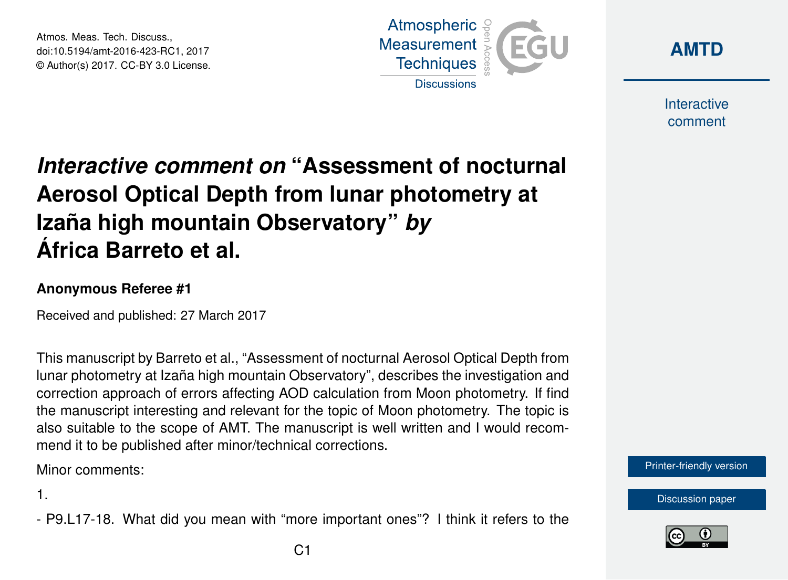Atmos. Meas. Tech. Discuss., doi:10.5194/amt-2016-423-RC1, 2017 © Author(s) 2017. CC-BY 3.0 License.





Interactive comment

## *Interactive comment on* **"Assessment of nocturnal Aerosol Optical Depth from lunar photometry at Izaña high mountain Observatory"** *by* **África Barreto et al.**

## **Anonymous Referee #1**

Received and published: 27 March 2017

This manuscript by Barreto et al., "Assessment of nocturnal Aerosol Optical Depth from lunar photometry at Izaña high mountain Observatory", describes the investigation and correction approach of errors affecting AOD calculation from Moon photometry. If find the manuscript interesting and relevant for the topic of Moon photometry. The topic is also suitable to the scope of AMT. The manuscript is well written and I would recommend it to be published after minor/technical corrections.

Minor comments:

1.

- P9.L17-18. What did you mean with "more important ones"? I think it refers to the



[Discussion paper](http://www.atmos-meas-tech-discuss.net/amt-2016-423)